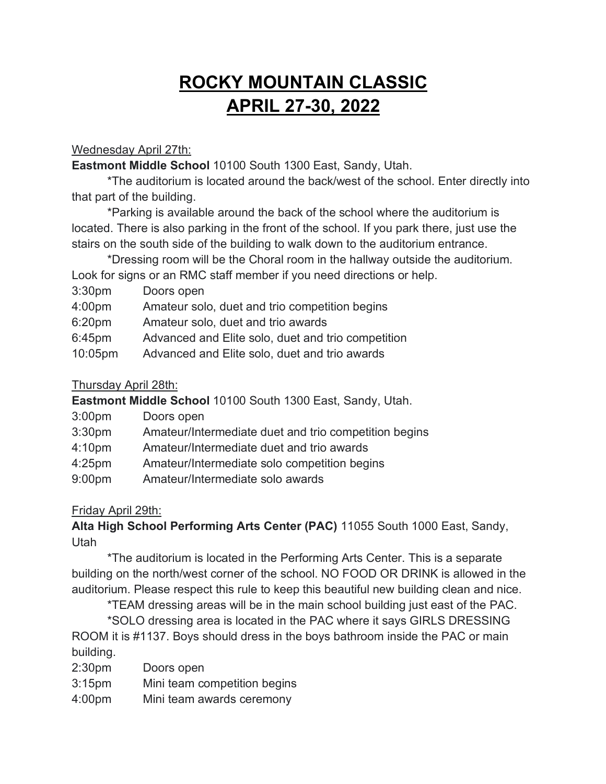# **ROCKY MOUNTAIN CLASSIC APRIL 27-30, 2022**

# Wednesday April 27th:

**Eastmont Middle School** 10100 South 1300 East, Sandy, Utah.

\*The auditorium is located around the back/west of the school. Enter directly into that part of the building.

\*Parking is available around the back of the school where the auditorium is located. There is also parking in the front of the school. If you park there, just use the stairs on the south side of the building to walk down to the auditorium entrance.

\*Dressing room will be the Choral room in the hallway outside the auditorium.

Look for signs or an RMC staff member if you need directions or help.

- 3:30pm Doors open
- 4:00pm Amateur solo, duet and trio competition begins
- 6:20pm Amateur solo, duet and trio awards
- 6:45pm Advanced and Elite solo, duet and trio competition
- 10:05pm Advanced and Elite solo, duet and trio awards

# Thursday April 28th:

**Eastmont Middle School** 10100 South 1300 East, Sandy, Utah.

- 3:00pm Doors open
- 3:30pm Amateur/Intermediate duet and trio competition begins
- 4:10pm Amateur/Intermediate duet and trio awards
- 4:25pm Amateur/Intermediate solo competition begins
- 9:00pm Amateur/Intermediate solo awards

# Friday April 29th:

**Alta High School Performing Arts Center (PAC)** 11055 South 1000 East, Sandy, Utah

\*The auditorium is located in the Performing Arts Center. This is a separate building on the north/west corner of the school. NO FOOD OR DRINK is allowed in the auditorium. Please respect this rule to keep this beautiful new building clean and nice.

\*TEAM dressing areas will be in the main school building just east of the PAC.

\*SOLO dressing area is located in the PAC where it says GIRLS DRESSING ROOM it is #1137. Boys should dress in the boys bathroom inside the PAC or main building.

- 2:30pm Doors open
- 3:15pm Mini team competition begins
- 4:00pm Mini team awards ceremony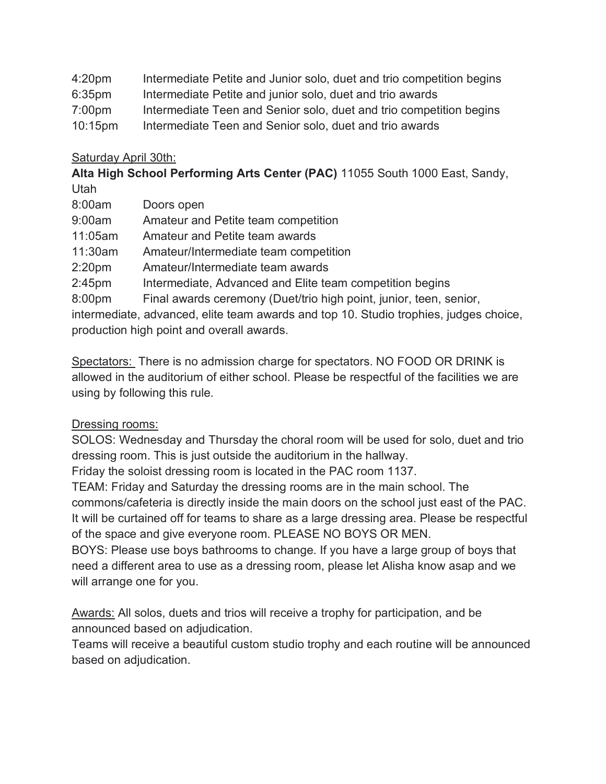| 4:20 <sub>pm</sub> | Intermediate Petite and Junior solo, duet and trio competition begins |  |  |  |  |  |  |
|--------------------|-----------------------------------------------------------------------|--|--|--|--|--|--|
|--------------------|-----------------------------------------------------------------------|--|--|--|--|--|--|

- 6:35pm Intermediate Petite and junior solo, duet and trio awards
- 7:00pm Intermediate Teen and Senior solo, duet and trio competition begins
- 10:15pm Intermediate Teen and Senior solo, duet and trio awards

#### Saturday April 30th:

**Alta High School Performing Arts Center (PAC)** 11055 South 1000 East, Sandy, Utah

- 8:00am Doors open
- 9:00am Amateur and Petite team competition
- 11:05am Amateur and Petite team awards
- 11:30am Amateur/Intermediate team competition
- 2:20pm Amateur/Intermediate team awards

2:45pm Intermediate, Advanced and Elite team competition begins

8:00pm Final awards ceremony (Duet/trio high point, junior, teen, senior,

intermediate, advanced, elite team awards and top 10. Studio trophies, judges choice, production high point and overall awards.

Spectators: There is no admission charge for spectators. NO FOOD OR DRINK is allowed in the auditorium of either school. Please be respectful of the facilities we are using by following this rule.

## Dressing rooms:

SOLOS: Wednesday and Thursday the choral room will be used for solo, duet and trio dressing room. This is just outside the auditorium in the hallway.

Friday the soloist dressing room is located in the PAC room 1137.

TEAM: Friday and Saturday the dressing rooms are in the main school. The commons/cafeteria is directly inside the main doors on the school just east of the PAC. It will be curtained off for teams to share as a large dressing area. Please be respectful of the space and give everyone room. PLEASE NO BOYS OR MEN.

BOYS: Please use boys bathrooms to change. If you have a large group of boys that need a different area to use as a dressing room, please let Alisha know asap and we will arrange one for you.

Awards: All solos, duets and trios will receive a trophy for participation, and be announced based on adjudication.

Teams will receive a beautiful custom studio trophy and each routine will be announced based on adjudication.